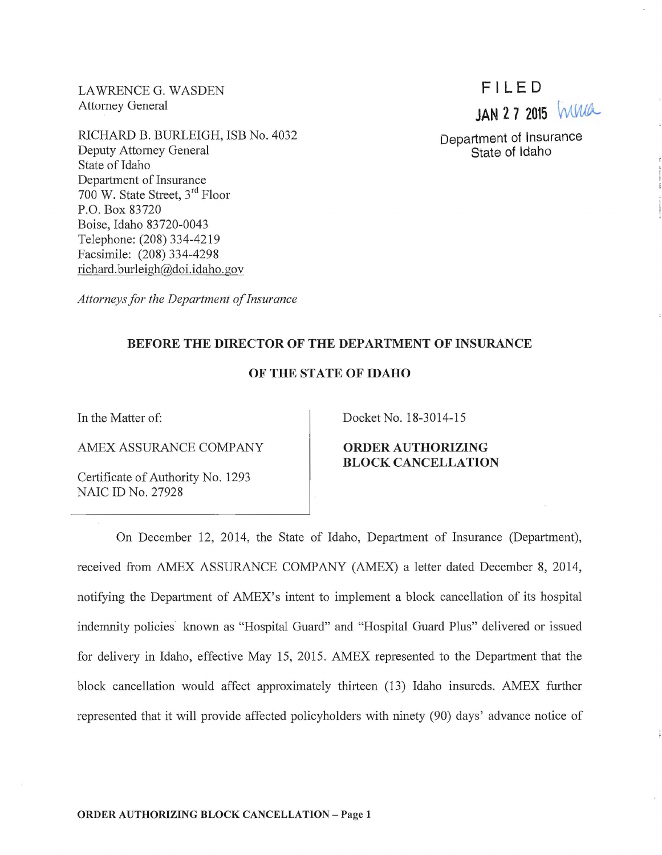LAWRENCE G. WASDEN Attomey General

RICHARD B. BURLEIGH, ISB No. 4032 Deputy Attomey General State of Idaho Department of Insurance 700 W. State Street,  $3<sup>rd</sup>$  Floor P.O. Box 83720 Boise, Idaho 83720-0043 Telephone: (208) 334-4219 Facsimile: (208) 334-4298 richard.burleigh@doi.idaho.gov

*Attorneys for the Department of Insurance* 

## BEFORE THE DIRECTOR OF THE DEPARTMENT OF INSURANCE

## OF THE STATE OF IDAHO

In the Matter of:

AMEX ASSURANCE COMPANY

Certificate of Authority No. 1293 NAIC ID No. 27928

Docket No. 18-3014-15

ORDER AUTHORIZING BLOCK CANCELLATION

On December 12, 2014, the State of Idaho, Department of Insurance (Department), received from AMEX ASSURANCE COMPANY (AMEX) a letter dated December 8, 2014, notifying the Department of AMEX's intent to implement a block cancellation of its hospital indemnity policies known as "Hospital Guard" and "Hospital Guard Plus" delivered or issued for delivery in Idaho, effective May 15, 2015. AMEX represented to the Department that the block cancellation would affect approximately thirteen (13) Idaho insureds. AMEX further represented that it will provide affected policyholders with ninety (90) days' advance notice of

FILED **JAN 2 7 2015 MMA** 

Department of Insurance State of Idaho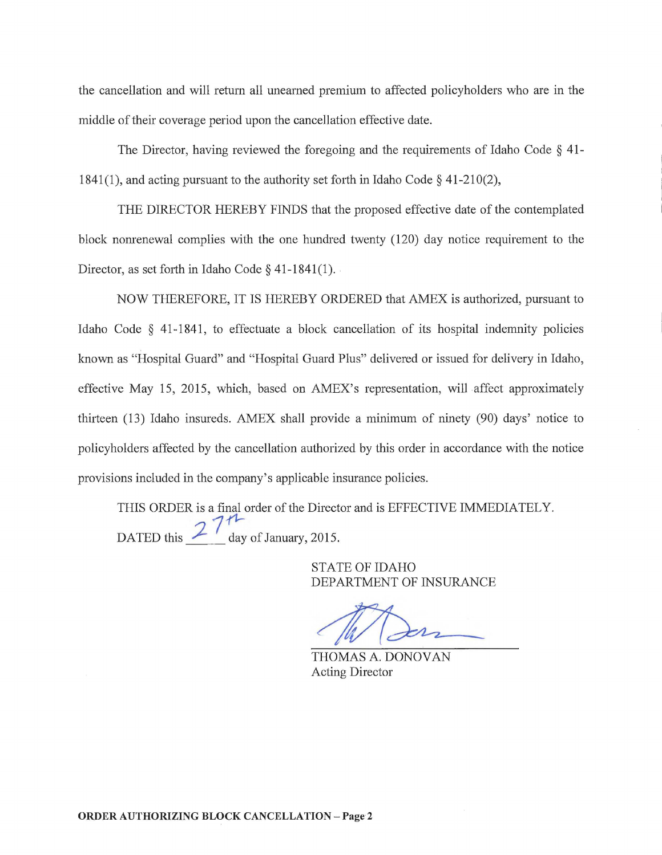the cancellation and will return all unearned premium to affected policyholders who are in the middle of their coverage period upon the cancellation effective date.

The Director, having reviewed the foregoing and the requirements of Idaho Code § 41- 1841(1), and acting pursuant to the authority set forth in Idaho Code  $\S$  41-210(2),

THE DIRECTOR HEREBY FINDS that the proposed effective date of the contemplated block nomenewal complies with the one hundred twenty (120) day notice requirement to the Director, as set forth in Idaho Code  $\S$  41-1841(1).

NOW THEREFORE, IT IS HEREBY ORDERED that AMEX is authorized, pursuant to Idaho Code § 41-1841, to effectuate a block cancellation of its hospital indemnity policies known as "Hospital Guard" and "Hospital Guard Plus" delivered or issued for delivery in Idaho, effective May 15, 2015, which, based on AMEX's representation, will affect approximately thirteen  $(13)$  Idaho insureds. AMEX shall provide a minimum of ninety  $(90)$  days' notice to policyholders affected by the cancellation authorized by this order in accordance with the notice provisions included in the company's applicable insurance policies.

THIS ORDER is a final order of the Director and is EFFECTIVE IMMEDIATELY. DATED this  $27<sup>11</sup>$  day of January, 2015.

> STATE OF IDAHO DEPARTMENT OF INSURANCE

THOMAS A. DONOVAN Acting Director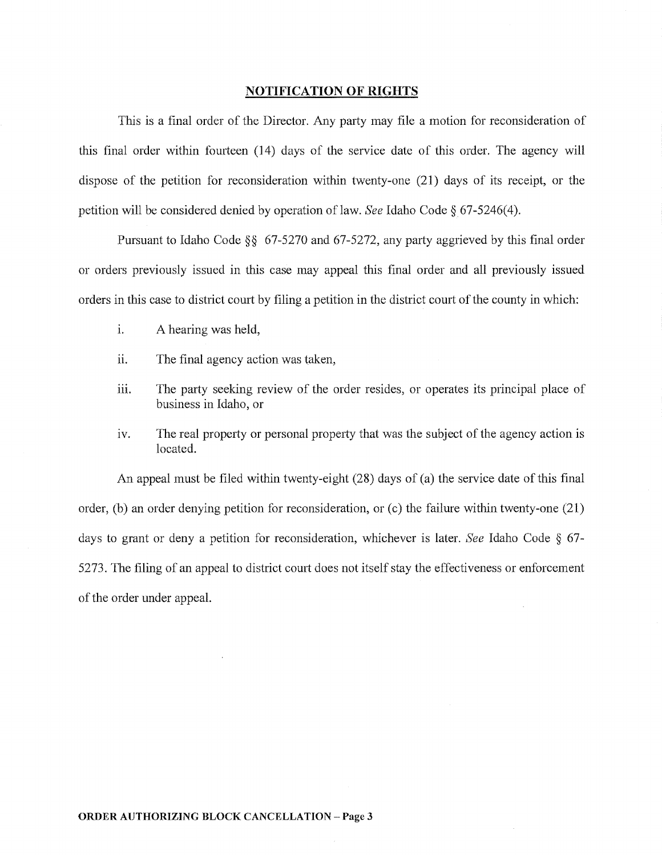## **NOTIFICATION OF RIGHTS**

This is a final order of the Director. Any party may file a motion for reconsideration of this final order within fourteen (14) days of the service date of this order. The agency will dispose of the petition for reconsideration within twenty-one (21) days of its receipt, or the petition will be considered denied by operation oflaw. *See* Idaho Code§ 67-5246(4).

Pursuant to Idaho Code §§ 67-5270 and 67-5272, any party aggrieved by this final order or orders previously issued in this case may appeal this final order and all previously issued orders in this case to district court by filing a petition in the district court of the county in which:

- i. A hearing was held,
- ii. The final agency action was taken,
- iii. The party seeking review of the order resides, or operates its principal place of business in Idaho, or
- iv. The real property or personal property that was the subject of the agency action is located.

An appeal must be filed within twenty-eight (28) days of (a) the service date of this final order, (b) an order denying petition for reconsideration, or (c) the failure within twenty-one (21) days to grant or deny a petition for reconsideration, whichever is later. *See* Idaho Code § 67- 5273. The filing of an appeal to district court does not itself stay the effectiveness or enforcement of the order under appeal.